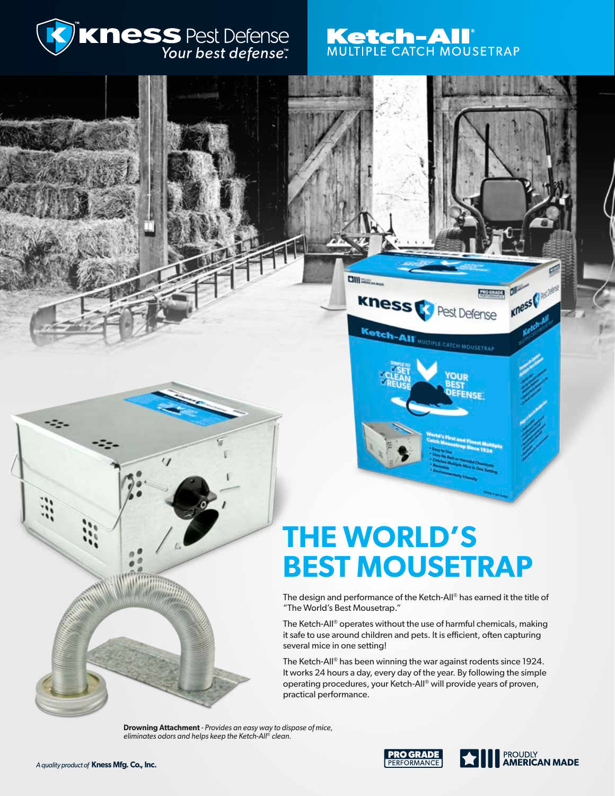

# Ketch-AI<sup>®</sup><br>MULTIPLE CATCH MOUSETRAP

# **THE WORLD'S BEST MOUSETRAP**

**Ciliano** 

kness

The design and performance of the Ketch-All® has earned it the title of "The World's Best Mousetrap."

The Ketch-All® operates without the use of harmful chemicals, making it safe to use around children and pets. It is efficient, often capturing several mice in one setting!

The Ketch-All® has been winning the war against rodents since 1924. It works 24 hours a day, every day of the year. By following the simple operating procedures, your Ketch-All® will provide years of proven, practical performance.

**Drowning Attachment** *- Provides an easy way to dispose of mice, eliminates odors and helps keep the Ketch-All® clean.*



**America** Chicagos

**PROGRADE** 

Pest Defense

**OUR** 

**ENSE** 

Ketch-AIT MULTIPLE CATCH MOUSETRAP

 $\mathcal{L}_{\mathcal{L}}$